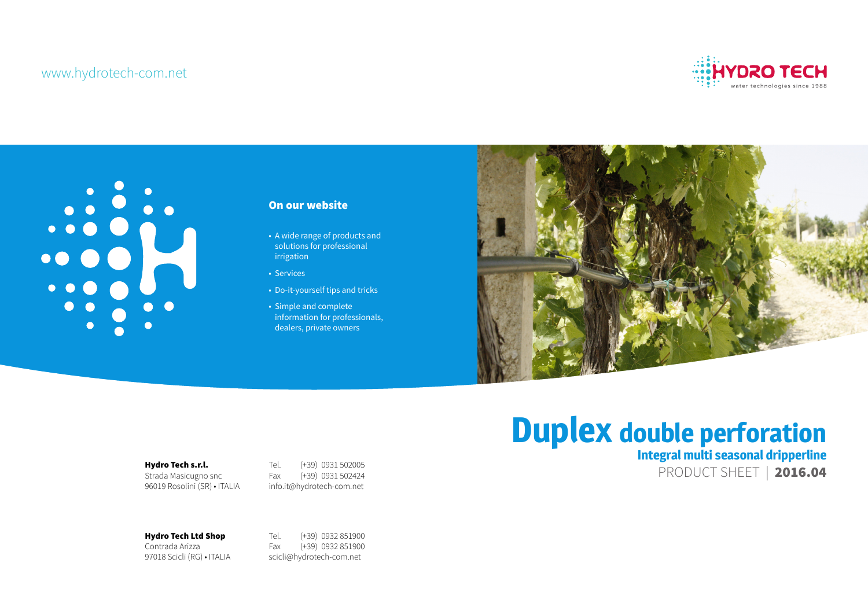# www.hydrotech-com.net

Hydro Tech s.r.l. Strada Masicugno snc 96019 Rosolini (SR) • ITALIA Tel. (+39) 0931 502005 Fax (+39) 0931 502424 info.it@hydrotech-com.net

Hydro Tech Ltd Shop Contrada Arizza

97018 Scicli (RG) • ITALIA

# **Duplex double perforation Integral multi seasonal dripperline**  PRODUCT SHEET | 2016.04

Tel. (+39) 0932 851900 Fax (+39) 0932 851900 scicli@hydrotech-com.net



# On our website

- A wide range of products and solutions for professional irrigation
- Services
- Do-it-yourself tips and tricks
- Simple and complete information for professionals, dealers, private owners